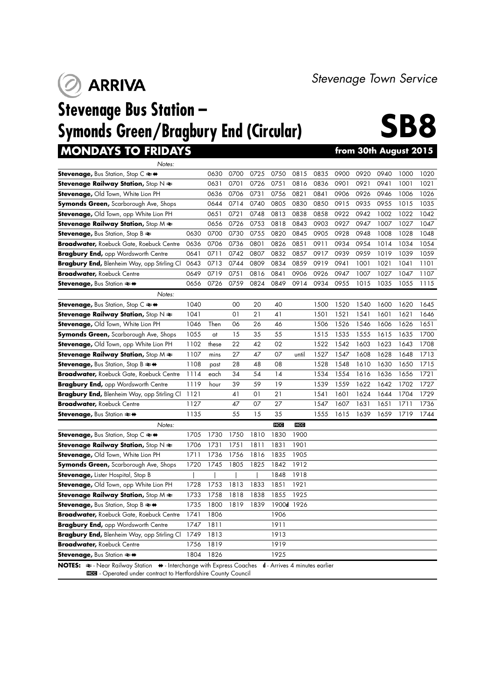**O** ARRIVA

**MONDAYS TO FRIDAYS** 

## **Stevenage Bus Station – Symonds Green/Bragbury End (Circular)**



*Notes:* **Stevenage,** Bus Station, Stop C  $\blacktriangleright$  4 0630 0700 0725 0750 0815 0835 0900 0920 0940 1000 1020 **Stevenage Railway Station,** Stop N  $\approx$  0631 0701 0726 0751 0816 0836 0901 0921 0941 1001 1021 **Stevenage,** Old Town, White Lion PH 0636 0706 0731 0756 0821 0841 0906 0926 0946 1006 1026 **Symonds Green,** Scarborough Ave, Shops 0644 0714 0740 0805 0830 0850 0915 0935 0955 1015 1035 **Stevenage,** Old Town, opp White Lion PH 0651 0721 0748 0813 0838 0858 0922 0942 1002 1022 1042 **Stevenage Railway Station,** Stop M  $\Leftarrow$  0656 0726 0753 0818 0843 0903 0927 0947 1007 1027 1047 **Stevenage,** Bus Station, Stop B  $\rightleftharpoons$  0630 0700 0730 0755 0820 0845 0905 0928 0948 1008 1028 1048 **Broadwater,** Roebuck Gate, Roebuck Centre 0636 0706 0736 0801 0826 0851 0911 0934 0954 1014 1034 1054 **Bragbury End,** opp Wordsworth Centre 0641 0711 0742 0807 0832 0857 0917 0939 0959 1019 1039 1059 **Bragbury End,** Blenheim Way, opp Stirling Cl 0643 0713 0744 0809 0834 0859 0919 0941 1001 1021 1041 1101 **Broadwater,** Roebuck Centre 0649 0719 0751 0816 0841 0906 0926 0947 1007 1027 1047 1107 **Stevenage,** Bus Station → ◆ 0656 0726 0759 0824 0849 0914 0934 0955 1015 1035 1055 1115 *Notes:* **Stevenage,** Bus Station, Stop C  $\Leftarrow$   $\leftrightarrow$  1040 00 20 40 1500 1520 1540 1600 1620 1645 **Stevenage Railway Station,** Stop N  $\neq$  1041 01 21 41 1501 1521 1541 1601 1621 1646 **Stevenage,** Old Town, White Lion PH 1046 Then 06 26 46 1506 1526 1546 1606 1626 1651 **Symonds Green,** Scarborough Ave, Shops 1055 at 15 35 55 1515 1535 1555 1615 1635 1700 **Stevenage,** Old Town, opp White Lion PH 1102 these 22 42 02 1522 1542 1603 1623 1643 1708 **Stevenage Railway Station,** Stop M  $\rightleftharpoons$  1107 mins 27 47 07 until 1527 1547 1608 1628 1648 1713 **Stevenage,** Bus Station, Stop B  $\rightleftharpoons$  4 1108 past 28 48 08 1528 1548 1610 1630 1650 1715 **Broadwater,** Roebuck Gate, Roebuck Centre 1114 each 34 54 14 1534 1554 1616 1636 1656 1721 **Bragbury End,** opp Wordsworth Centre 1119 hour 39 59 19 1539 1559 1622 1642 1702 1727 **Bragbury End,** Blenheim Way, opp Stirling Cl 1121 41 01 21 1541 1601 1624 1644 1704 1729 **Broadwater,** Roebuck Centre **1127** 47 07 27 1547 1607 1631 1651 1711 1736 **Stevenage,** Bus Station  $\Rightarrow$   $\leftrightarrow$  1135 55 15 35 1555 1615 1639 1659 1719 1744 *Notes:* 4 4 **Stevenage,** Bus Station, Stop C  $\rightleftharpoons$   $\leftarrow$  1705 1730 1750 1810 1830 1900 **Stevenage Railway Station,** Stop  $N \neq 1706$  1731 1751 1811 1831 1901 **Stevenage, Old Town, White Lion PH 1711 1736 1756 1816 1835 1905 Symonds Green,** Scarborough Ave, Shops 1720 1745 1805 1825 1842 1912 **Stevenage,** Lister Hospital, Stop B | | | | 1848 1918 **Stevenage,** Old Town, opp White Lion PH 1728 1753 1813 1833 1851 1921 **Stevenage Railway Station,** Stop  $M \ne 1733$  1758 1818 1838 1855 1925 **Stevenage,** Bus Station, Stop B  $\rightleftharpoons$   $\leftarrow$  1735 1800 1819 1839 1900d 1926 **Broadwater,** Roebuck Gate, Roebuck Centre 1741 1806 **Bragbury End,** opp Wordsworth Centre 1747 1811 1911 **Bragbury End,** Blenheim Way, opp Stirling Cl 1749 1813 1913 **Broadwater,** Roebuck Centre 1756 1819 1919 **Stevenage,** Bus Station  $\rightleftharpoons \leftarrow$  1804 1826 1925 **NOTES:**  $\triangleq$  - Near Railway Station  $\triangleleft$  - Interchange with Express Coaches **d** - Arrives 4 minutes earlier

**HEE** - Operated under contract to Hertfordshire County Council

*Stevenage Town Service*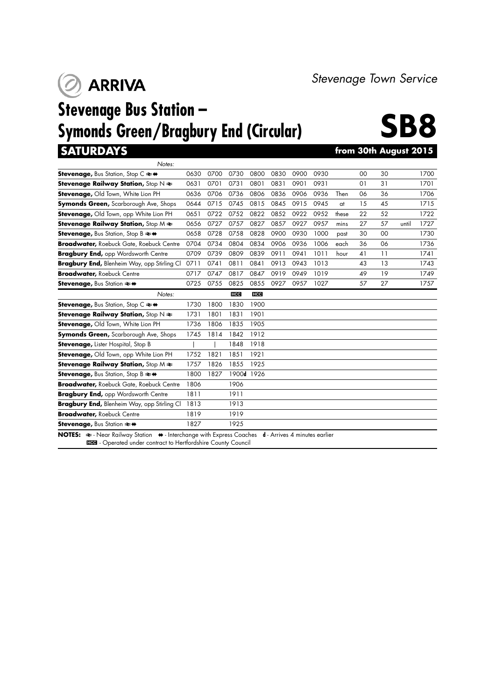**ARRIVA**  $\mathcal{O}$ 

# **Stevenage Bus Station – Symonds Green/Bragbury End (Circular)**



*Stevenage Town Service*

### **SATURDAYS from 30th August 2015**

| Notes:                                                                                                                                                                                                               |      |      |            |            |      |      |      |       |    |    |       |      |
|----------------------------------------------------------------------------------------------------------------------------------------------------------------------------------------------------------------------|------|------|------------|------------|------|------|------|-------|----|----|-------|------|
| <b>Stevenage, Bus Station, Stop C <math>\rightleftarrows</math> <math>\leftrightarrow</math></b>                                                                                                                     | 0630 | 0700 | 0730       | 0800       | 0830 | 0900 | 0930 |       | 00 | 30 |       | 1700 |
| Stevenage Railway Station, Stop $N \geq$                                                                                                                                                                             | 0631 | 0701 | 0731       | 0801       | 0831 | 0901 | 0931 |       | 01 | 31 |       | 1701 |
| Stevenage, Old Town, White Lion PH                                                                                                                                                                                   | 0636 | 0706 | 0736       | 0806       | 0836 | 0906 | 0936 | Then  | 06 | 36 |       | 1706 |
| <b>Symonds Green, Scarborough Ave, Shops</b>                                                                                                                                                                         | 0644 | 0715 | 0745       | 0815       | 0845 | 0915 | 0945 | at    | 15 | 45 |       | 1715 |
| Stevenage, Old Town, opp White Lion PH                                                                                                                                                                               | 0651 | 0722 | 0752       | 0822       | 0852 | 0922 | 0952 | these | 22 | 52 |       | 1722 |
| <b>Stevenage Railway Station, Stop M <math>\neq</math></b>                                                                                                                                                           | 0656 | 0727 | 0757       | 0827       | 0857 | 0927 | 0957 | mins  | 27 | 57 | until | 1727 |
| <b>Stevenage, Bus Station, Stop B <math>\rightleftarrows</math> +</b>                                                                                                                                                | 0658 | 0728 | 0758       | 0828       | 0900 | 0930 | 1000 | past  | 30 | 00 |       | 1730 |
| <b>Broadwater, Roebuck Gate, Roebuck Centre</b>                                                                                                                                                                      | 0704 | 0734 | 0804       | 0834       | 0906 | 0936 | 1006 | each  | 36 | 06 |       | 1736 |
| <b>Bragbury End, opp Wordsworth Centre</b>                                                                                                                                                                           | 0709 | 0739 | 0809       | 0839       | 0911 | 0941 | 1011 | hour  | 41 | 11 |       | 1741 |
| Bragbury End, Blenheim Way, opp Stirling Cl                                                                                                                                                                          | 0711 | 0741 | 0811       | 0841       | 0913 | 0943 | 1013 |       | 43 | 13 |       | 1743 |
| <b>Broadwater, Roebuck Centre</b>                                                                                                                                                                                    | 0717 | 0747 | 0817       | 0847       | 0919 | 0949 | 1019 |       | 49 | 19 |       | 1749 |
| <b>Stevenage, Bus Station <math>\rightleftharpoons</math> ↔</b>                                                                                                                                                      | 0725 | 0755 | 0825       | 0855       | 0927 | 0957 | 1027 |       | 57 | 27 |       | 1757 |
| Notes:                                                                                                                                                                                                               |      |      | <b>HCC</b> | <b>HCC</b> |      |      |      |       |    |    |       |      |
| <b>Stevenage, Bus Station, Stop C ≥ +</b>                                                                                                                                                                            | 1730 | 1800 | 1830       | 1900       |      |      |      |       |    |    |       |      |
| Stevenage Railway Station, Stop $N \geq$                                                                                                                                                                             | 1731 | 1801 | 1831       | 1901       |      |      |      |       |    |    |       |      |
| Stevenage, Old Town, White Lion PH                                                                                                                                                                                   | 1736 | 1806 | 1835       | 1905       |      |      |      |       |    |    |       |      |
| <b>Symonds Green, Scarborough Ave, Shops</b>                                                                                                                                                                         | 1745 | 1814 | 1842       | 1912       |      |      |      |       |    |    |       |      |
| <b>Stevenage, Lister Hospital, Stop B</b>                                                                                                                                                                            |      |      | 1848       | 1918       |      |      |      |       |    |    |       |      |
| Stevenage, Old Town, opp White Lion PH                                                                                                                                                                               | 1752 | 1821 | 1851       | 1921       |      |      |      |       |    |    |       |      |
| <b>Stevenage Railway Station, Stop M <math>\neq</math></b>                                                                                                                                                           | 1757 | 1826 | 1855       | 1925       |      |      |      |       |    |    |       |      |
| <b>Stevenage, Bus Station, Stop B <math>\rightleftarrows</math> +</b>                                                                                                                                                | 1800 | 1827 | 1900d      | 1926       |      |      |      |       |    |    |       |      |
| <b>Broadwater, Roebuck Gate, Roebuck Centre</b>                                                                                                                                                                      | 1806 |      | 1906       |            |      |      |      |       |    |    |       |      |
| <b>Bragbury End, opp Wordsworth Centre</b>                                                                                                                                                                           | 1811 |      | 1911       |            |      |      |      |       |    |    |       |      |
| Bragbury End, Blenheim Way, opp Stirling Cl                                                                                                                                                                          | 1813 |      | 1913       |            |      |      |      |       |    |    |       |      |
| <b>Broadwater, Roebuck Centre</b>                                                                                                                                                                                    | 1819 |      | 1919       |            |      |      |      |       |    |    |       |      |
| Stevenage, Bus Station $\rightleftharpoons$ ↔                                                                                                                                                                        | 1827 |      | 1925       |            |      |      |      |       |    |    |       |      |
| <b>NOTES:</b> $\Rightarrow$ - Near Railway Station $\leftrightarrow$ - Interchange with Express Coaches <b>d</b> - Arrives 4 minutes earlier<br><b>Hed</b> - Operated under contract to Hertfordshire County Council |      |      |            |            |      |      |      |       |    |    |       |      |